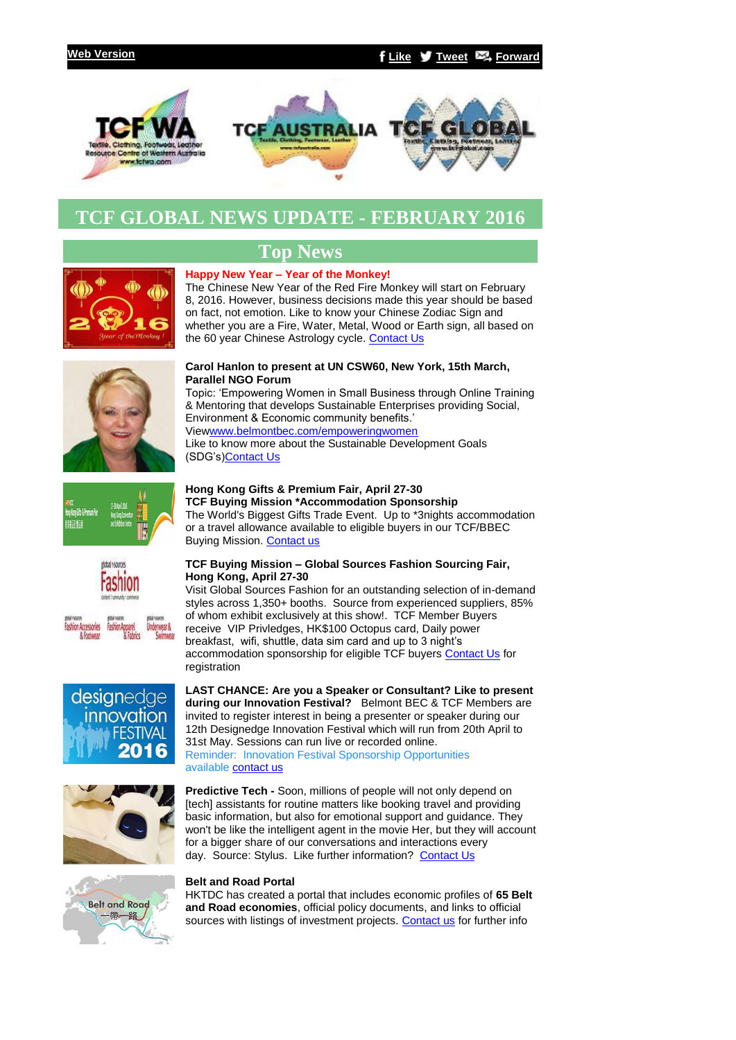

# **TCF GLOBAL NEWS UPDATE - FEBRUARY 2016**



# **Top News**

## **Happy New Year – Year of the Monkey!**

The Chinese New Year of the Red Fire Monkey will start on February 8, 2016. However, business decisions made this year should be based on fact, not emotion. Like to know your Chinese Zodiac Sign and whether you are a Fire, Water, Metal, Wood or Earth sign, all based on the 60 year Chinese Astrology cycle. [Contact Us](mailto:info@tcfglobal.com?subject=Re%3A%20Chinese%20Happy%20New%20Year)





The World's Biggest Gifts Trade Event. Up to \*3nights accommodation or a travel allowance available to eligible buyers in our TCF/BBEC



Visit Global Sources Fashion for an outstanding selection of in-demand styles across 1,350+ booths. Source from experienced suppliers, 85% of whom exhibit exclusively at this show!. TCF Member Buyers receive VIP Privledges, HK\$100 Octopus card, Daily power breakfast, wifi, shuttle, data sim card and up to 3 night's accommodation sponsorship for eligible TCF buyers [Contact Us](mailto:info@tcfglobal.com?subject=Re%3A%20Buying%20Mission-Global%20Sources%20Fashion%20HongKong%2027-30%20April%202016) for registration

**LAST CHANCE: Are you a Speaker or Consultant? Like to present during our Innovation Festival?** Belmont BEC & TCF Members are invited to register interest in being a presenter or speaker during our 12th Designedge Innovation Festival which will run from 20th April to 31st May. Sessions can run live or recorded online. Reminder: Innovation Festival Sponsorship Opportunities available [contact us](mailto:info@tcfglobal.com?subject=Re%3A%20Innovation%20Festival%202016)

**Predictive Tech -** Soon, millions of people will not only depend on [tech] assistants for routine matters like booking travel and providing basic information, but also for emotional support and guidance. They won't be like the intelligent agent in the movie Her, but they will account for a bigger share of our conversations and interactions every day. Source: Stylus. Like further information? [Contact Us](mailto:info@tcfglobal.com?subject=Re%3A%20Predictive%20Tech)



desianedae innovation **FESTIVAL** 2016

### **Belt and Road Portal**

HKTDC has created a portal that includes economic profiles of **65 Belt and Road economies**, official policy documents, and links to official sources with listings of investment projects. [Contact us](mailto:support@belmontbec.com?subject=Re%3A%20Belt%20and%20Road%20Portal) for further info



Like to know more about the Sustainable Development Goals

# (SDG's[\)Contact Us](mailto:info@tcfglobal.com?subject=Re%3A%20Empowering%20Women%20UN%20March) **Hong Kong Gifts & Premium Fair, April 27-30**

**TCF Buying Mission \*Accommodation Sponsorship** Buying Mission. [Contact us](mailto:events@tcfglobal.com?subject=HK%20Gift%20Fair%20April%2027-30)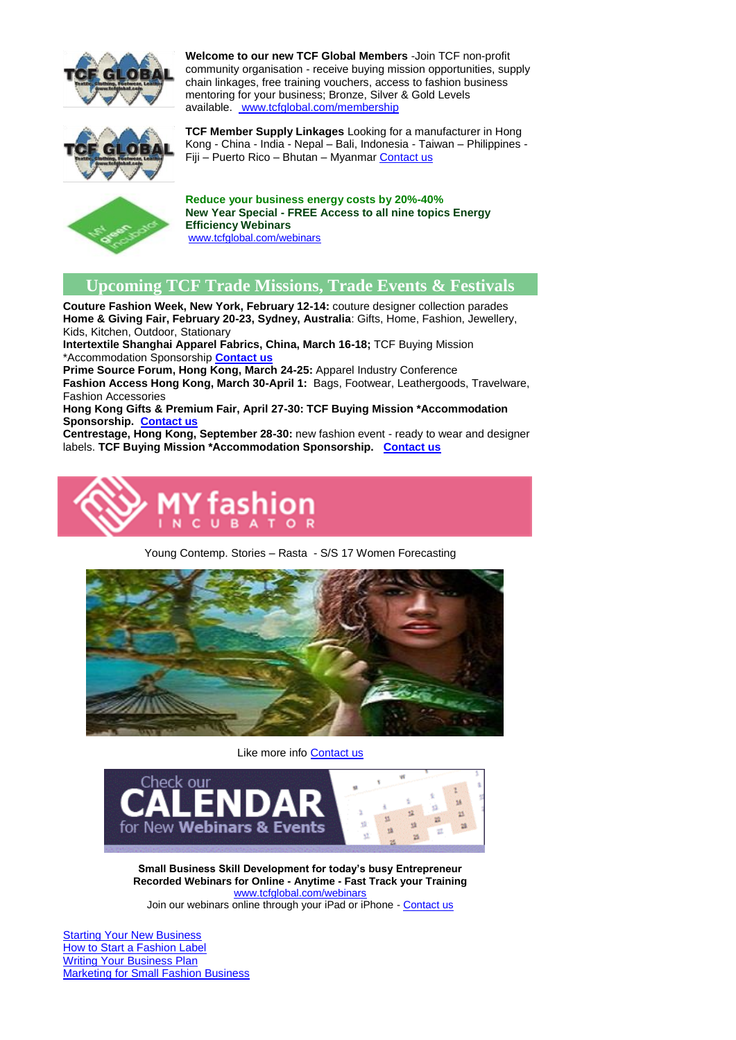

**Welcome to our new TCF Global Members** -Join TCF non-profit community organisation - receive buying mission opportunities, supply chain linkages, free training vouchers, access to fashion business mentoring for your business; Bronze, Silver & Gold Levels available. [www.tcfglobal.com/membership](http://bbec.bridgewaymailer.com/t/j-l-hkhikjd-l-x/)



**TCF Member Supply Linkages** Looking for a manufacturer in Hong Kong - China - India - Nepal – Bali, Indonesia - Taiwan – Philippines - Fiji – Puerto Rico – Bhutan – Myanmar [Contact us](mailto:support@tcfglobal.com?subject=TCF%20Member%20Linkages)



**Reduce your business energy costs by 20%-40% New Year Special - FREE Access to all nine topics Energy Efficiency Webinars** [www.tcfglobal.com/webinars](http://bbec.bridgewaymailer.com/t/j-l-hkhikjd-l-m/)

## **Upcoming TCF Trade Missions, Trade Events & Festivals**

**Couture Fashion Week, New York, February 12-14:** couture designer collection parades **Home & Giving Fair, February 20-23, Sydney, Australia**: Gifts, Home, Fashion, Jewellery, Kids, Kitchen, Outdoor, Stationary

**Intertextile Shanghai Apparel Fabrics, China, March 16-18;** TCF Buying Mission \*Accommodation Sponsorship **[Contact us](mailto:support@tcfglobal.com?subject=Re%3AIntertextile%20Shanghai%20Apparel%20Fabrics%2C%20China%2C%20March%2016-18%3B)**

**Prime Source Forum, Hong Kong, March 24-25:** Apparel Industry Conference **Fashion Access Hong Kong, March 30-April 1:** Bags, Footwear, Leathergoods, Travelware, Fashion Accessories

**Hong Kong Gifts & Premium Fair, April 27-30: TCF Buying Mission \*Accommodation Sponsorship. [Contact us](mailto:support@tcfglobal.com?subject=Hong%20Kong%20Gifts%20%26%20Premium%20Fair%2C%20April%2027-30)**

**Centrestage, Hong Kong, September 28-30:** new fashion event - ready to wear and designer labels. **TCF Buying Mission \*Accommodation Sponsorship. [Contact us](mailto:support@tcfglobal.com?subject=re%3A%20Centrestage%2C%20Hong%20Kong)**



Young Contemp. Stories – Rasta - S/S 17 Women Forecasting



Like more info [Contact us](mailto:support@tcfglobal.com?subject=Trend%20Council)



**Small Business Skill Development for today's busy Entrepreneur Recorded Webinars for Online - Anytime - Fast Track your Training** [www.tcfglobal.com/webinars](http://bbec.bridgewaymailer.com/t/j-l-hkhikjd-l-c/) Join our webinars online through your iPad or iPhone - [Contact us](mailto:support@belmontbec.com?subject=Question%20-%20how%20to%20access%20the%20webinar%20on%20iPad%20or%20iPhone)

**[Starting Your New Business](http://bbec.bridgewaymailer.com/t/j-l-hkhikjd-l-q/)** [How to Start a Fashion Label](http://bbec.bridgewaymailer.com/t/j-l-hkhikjd-l-q/) [Writing Your Business Plan](http://bbec.bridgewaymailer.com/t/j-l-hkhikjd-l-q/) **[Marketing for Small Fashion Business](http://bbec.bridgewaymailer.com/t/j-l-hkhikjd-l-q/)**